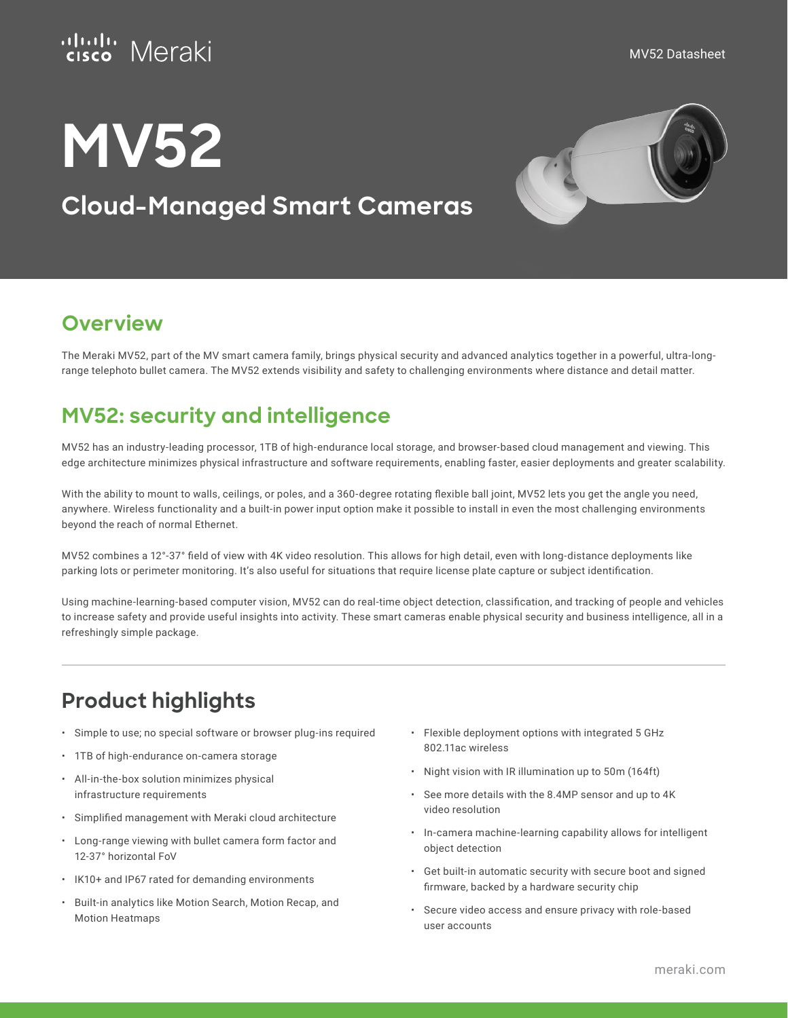

# **MV52**

# **Cloud-Managed Smart Cameras**



## **Overview**

The Meraki MV52, part of the MV smart camera family, brings physical security and advanced analytics together in a powerful, ultra-longrange telephoto bullet camera. The MV52 extends visibility and safety to challenging environments where distance and detail matter.

## **MV52: security and intelligence**

MV52 has an industry-leading processor, 1TB of high-endurance local storage, and browser-based cloud management and viewing. This edge architecture minimizes physical infrastructure and software requirements, enabling faster, easier deployments and greater scalability.

With the ability to mount to walls, ceilings, or poles, and a 360-degree rotating flexible ball joint, MV52 lets you get the angle you need, anywhere. Wireless functionality and a built-in power input option make it possible to install in even the most challenging environments beyond the reach of normal Ethernet.

MV52 combines a 12°-37° field of view with 4K video resolution. This allows for high detail, even with long-distance deployments like parking lots or perimeter monitoring. It's also useful for situations that require license plate capture or subject identification.

Using machine-learning-based computer vision, MV52 can do real-time object detection, classification, and tracking of people and vehicles to increase safety and provide useful insights into activity. These smart cameras enable physical security and business intelligence, all in a refreshingly simple package.

# **Product highlights**

- Simple to use; no special software or browser plug-ins required
- 1TB of high-endurance on-camera storage
- All-in-the-box solution minimizes physical infrastructure requirements
- Simplified management with Meraki cloud architecture
- Long-range viewing with bullet camera form factor and 12-37° horizontal FoV
- IK10+ and IP67 rated for demanding environments
- Built-in analytics like Motion Search, Motion Recap, and Motion Heatmaps
- Flexible deployment options with integrated 5 GHz 802.11ac wireless
- Night vision with IR illumination up to 50m (164ft)
- See more details with the 8.4MP sensor and up to 4K video resolution
- In-camera machine-learning capability allows for intelligent object detection
- Get built-in automatic security with secure boot and signed firmware, backed by a hardware security chip
- Secure video access and ensure privacy with role-based user accounts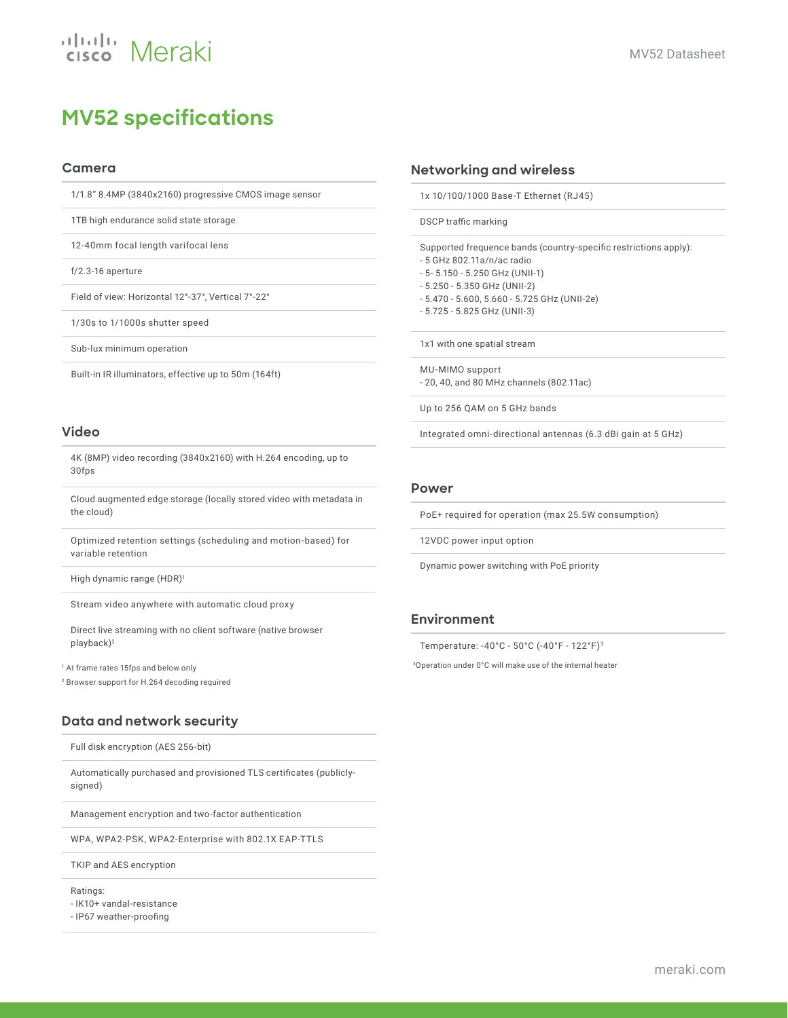# **MV52 specifications**

#### **Camera**

1/1.8" 8.4MP (3840x2160) progressive CMOS image sensor

1TB high endurance solid state storage

12-40mm focal length varifocal lens

f/2.3-16 aperture

Field of view: Horizontal 12°-37°, Vertical 7°-22°

1/30s to 1/1000s shutter speed

Sub-lux minimum operation

Built-in IR illuminators, effective up to 50m (164ft)

#### **Video**

4K (8MP) video recording (3840x2160) with H.264 encoding, up to 30fps

Cloud augmented edge storage (locally stored video with metadata in the cloud)

Optimized retention settings (scheduling and motion-based) for variable retention

High dynamic range (HDR)<sup>1</sup>

Stream video anywhere with automatic cloud proxy

Direct live streaming with no client software (native browser playback)<sup>2</sup>

<sup>1</sup> At frame rates 15fps and below only

<sup>2</sup> Browser support for H.264 decoding required

## **Data and network security**

Full disk encryption (AES 256-bit)

Automatically purchased and provisioned TLS certificates (publiclysigned)

Management encryption and two-factor authentication

WPA, WPA2-PSK, WPA2-Enterprise with 802.1X EAP-TTLS

TKIP and AES encryption

Ratings:

- IK10+ vandal-resistance

- IP67 weather-proofing

#### **Networking and wireless**

1x 10/100/1000 Base-T Ethernet (RJ45)

DSCP traffic marking

Supported frequence bands (country-specific restrictions apply):

- 5 GHz 802.11a/n/ac radio
- 5- 5.150 5.250 GHz (UNII-1)
- 5.250 5.350 GHz (UNII-2)
- 5.470 5.600, 5.660 5.725 GHz (UNII-2e)
- 5.725 5.825 GHz (UNII-3)

1x1 with one spatial stream

MU-MIMO support - 20, 40, and 80 MHz channels (802.11ac)

Up to 256 QAM on 5 GHz bands

Integrated omni-directional antennas (6.3 dBi gain at 5 GHz)

#### **Power**

PoE+ required for operation (max 25.5W consumption)

12VDC power input option

Dynamic power switching with PoE priority

#### **Environment**

Temperature: -40°C - 50°C (-40°F - 122°F)<sup>3</sup>

<sup>3</sup>Operation under 0°C will make use of the internal heater